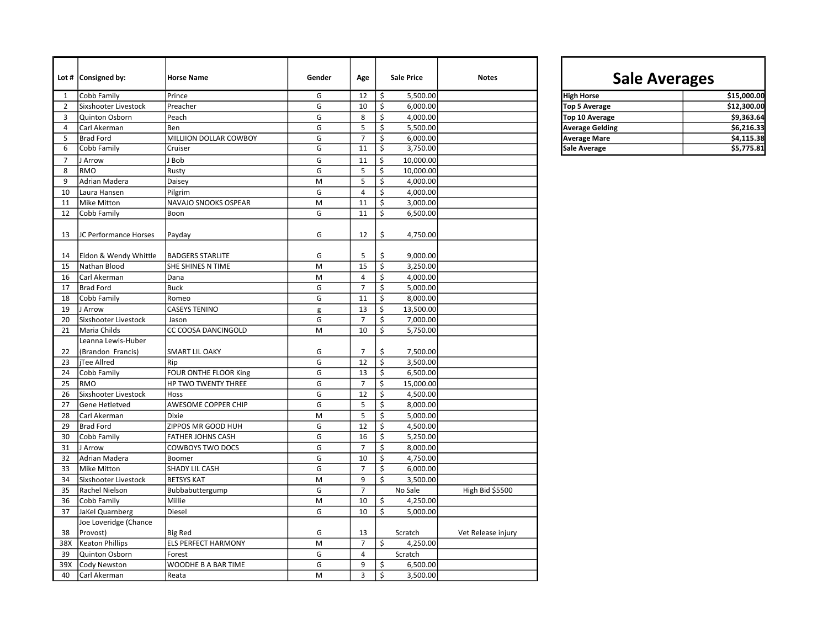|                | Lot # $\vert$ Consigned by: | <b>Horse Name</b>          | Gender | Age            | <b>Sale Price</b>                               | <b>Notes</b>       | <b>Sale Averages</b>   |             |
|----------------|-----------------------------|----------------------------|--------|----------------|-------------------------------------------------|--------------------|------------------------|-------------|
| 1              | Cobb Family                 | Prince                     | G      | 12             | \$<br>5,500.00                                  |                    | <b>High Horse</b>      | \$15,000.00 |
| $\overline{2}$ | Sixshooter Livestock        | Preacher                   | G      | 10             | \$<br>6,000.00                                  |                    | <b>Top 5 Average</b>   | \$12,300.00 |
| 3              | Quinton Osborn              | Peach                      | G      | 8              | \$<br>4,000.00                                  |                    | Top 10 Average         | \$9,363.64  |
| $\overline{4}$ | Carl Akerman                | Ben                        | G      | 5              | \$<br>5,500.00                                  |                    | <b>Average Gelding</b> | \$6,216.33  |
| 5              | <b>Brad Ford</b>            | MILLIION DOLLAR COWBOY     | G      | $\overline{7}$ | Ś<br>6,000.00                                   |                    | <b>Average Mare</b>    | \$4,115.38  |
| 6              | Cobb Family                 | Cruiser                    | G      | 11             | \$<br>3,750.00                                  |                    | <b>Sale Average</b>    | \$5,775.81  |
| $\overline{7}$ | J Arrow                     | J Bob                      | G      | 11             | \$<br>10,000.00                                 |                    |                        |             |
| 8              | RMO                         | Rusty                      | G      | 5              | \$<br>10,000.00                                 |                    |                        |             |
| 9              | Adrian Madera               | Daisey                     | M      | 5              | \$<br>4,000.00                                  |                    |                        |             |
| 10             | Laura Hansen                | Pilgrim                    | G      | 4              | \$<br>4,000.00                                  |                    |                        |             |
| 11             | <b>Mike Mitton</b>          | NAVAJO SNOOKS OSPEAR       | M      | 11             | \$<br>3,000.00                                  |                    |                        |             |
| 12             | Cobb Family                 | Boon                       | G      | 11             | \$<br>6,500.00                                  |                    |                        |             |
| 13             | JC Performance Horses       | Payday                     | G      | 12             | \$<br>4,750.00                                  |                    |                        |             |
| 14             | Eldon & Wendy Whittle       | <b>BADGERS STARLITE</b>    | G      | 5              | \$<br>9,000.00                                  |                    |                        |             |
| 15             | Nathan Blood                | SHE SHINES N TIME          | M      | 15             | $\overline{\boldsymbol{\varsigma}}$<br>3,250.00 |                    |                        |             |
| 16             | Carl Akerman                | Dana                       | M      | $\overline{4}$ | \$<br>4,000.00                                  |                    |                        |             |
| 17             | <b>Brad Ford</b>            | <b>Buck</b>                | G      | $\overline{7}$ | \$<br>5,000.00                                  |                    |                        |             |
| 18             | Cobb Family                 | Romeo                      | G      | 11             | \$<br>8,000.00                                  |                    |                        |             |
| 19             | J Arrow                     | <b>CASEYS TENINO</b>       | g      | 13             | \$<br>13,500.00                                 |                    |                        |             |
| 20             | Sixshooter Livestock        | Jason                      | G      | $\overline{7}$ | \$<br>7,000.00                                  |                    |                        |             |
| 21             | Maria Childs                | CC COOSA DANCINGOLD        | M      | 10             | \$<br>5,750.00                                  |                    |                        |             |
|                | Leanna Lewis-Huber          |                            |        |                |                                                 |                    |                        |             |
| 22             | (Brandon Francis)           | <b>SMART LIL OAKY</b>      | G      | $\overline{7}$ | \$<br>7,500.00                                  |                    |                        |             |
| 23             | iTee Allred                 | Rip                        | G      | 12             | \$<br>3,500.00                                  |                    |                        |             |
| 24             | Cobb Family                 | FOUR ONTHE FLOOR King      | G      | 13             | \$<br>6,500.00                                  |                    |                        |             |
| 25             | RMO                         | HP TWO TWENTY THREE        | G      | $\overline{7}$ | \$<br>15,000.00                                 |                    |                        |             |
| 26             | Sixshooter Livestock        | Hoss                       | G      | 12             | \$<br>4,500.00                                  |                    |                        |             |
| 27             | Gene Hetletved              | AWESOME COPPER CHIP        | G      | 5              | Ś<br>8,000.00                                   |                    |                        |             |
| 28             | Carl Akerman                | Dixie                      | M      | 5              | \$<br>5,000.00                                  |                    |                        |             |
| 29             | <b>Brad Ford</b>            | ZIPPOS MR GOOD HUH         | G      | 12             | \$<br>4,500.00                                  |                    |                        |             |
| 30             | Cobb Family                 | <b>FATHER JOHNS CASH</b>   | G      | 16             | \$<br>5,250.00                                  |                    |                        |             |
| 31             | J Arrow                     | COWBOYS TWO DOCS           | G      | $\overline{7}$ | \$<br>8,000.00                                  |                    |                        |             |
| 32             | Adrian Madera               | Boomer                     | G      | 10             | \$<br>4,750.00                                  |                    |                        |             |
| 33             | Mike Mitton                 | <b>SHADY LIL CASH</b>      | G      | $\overline{7}$ | \$<br>6,000.00                                  |                    |                        |             |
| 34             | Sixshooter Livestock        | <b>BETSYS KAT</b>          | M      | 9              | \$<br>3,500.00                                  |                    |                        |             |
| 35             | Rachel Nielson              | Bubbabuttergump            | G      | $\overline{7}$ | No Sale                                         | High Bid \$5500    |                        |             |
| 36             | Cobb Family                 | Millie                     | M      | 10             | \$<br>4,250.00                                  |                    |                        |             |
| 37             | JaKel Quarnberg             | Diesel                     | G      | 10             | \$<br>5,000.00                                  |                    |                        |             |
|                | Joe Loveridge (Chance       |                            |        |                |                                                 |                    |                        |             |
| 38             | Provost)                    | <b>Big Red</b>             | G      | 13             | Scratch                                         | Vet Release injury |                        |             |
| 38X            | <b>Keaton Phillips</b>      | <b>ELS PERFECT HARMONY</b> | M      | $\overline{7}$ | \$<br>4,250.00                                  |                    |                        |             |
| 39             | Quinton Osborn              | Forest                     | G      | $\overline{4}$ | Scratch                                         |                    |                        |             |
| 39X            | Cody Newston                | WOODHE B A BAR TIME        | G      | 9              | 6,500.00<br>\$                                  |                    |                        |             |
| 40             | Carl Akerman                | Reata                      | M      | 3              | \$<br>3,500.00                                  |                    |                        |             |

## Sale Averages

| <b>High Horse</b>      | \$15,000.00 |
|------------------------|-------------|
| <b>Top 5 Average</b>   | \$12,300.00 |
| Top 10 Average         | \$9,363,64  |
| <b>Average Gelding</b> | \$6,216.33  |
| <b>Average Mare</b>    | \$4.115.38  |
| Sale Average           | \$5,775.81  |
|                        |             |